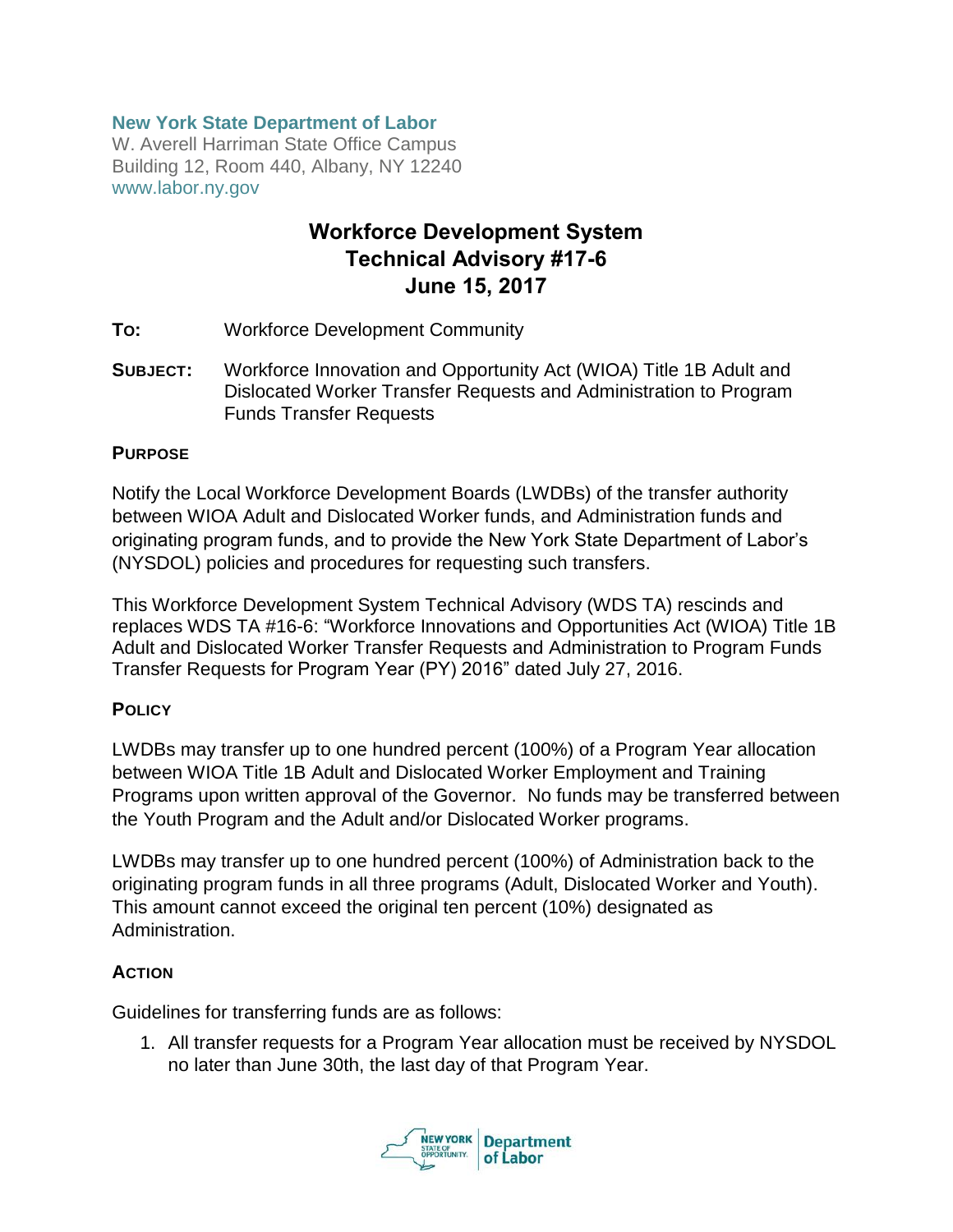### **New York State Department of Labor**

W. Averell Harriman State Office Campus Building 12, Room 440, Albany, NY 12240 www.labor.ny.gov

# Workforce Development System Technical Advisory #17-6 June 15, 2017

- **TO:** Workforce Development Community
- **SUBJECT:** Workforce Innovation and Opportunity Act (WIOA) Title 1B Adult and Dislocated Worker Transfer Requests and Administration to Program Funds Transfer Requests

#### **PURPOSE**

Notify the Local Workforce Development Boards (LWDBs) of the transfer authority between WIOA Adult and Dislocated Worker funds, and Administration funds and originating program funds, and to provide the New York State Department of Labor's (NYSDOL) policies and procedures for requesting such transfers.

This Workforce Development System Technical Advisory (WDS TA) rescinds and replaces WDS TA #16-6: "Workforce Innovations and Opportunities Act (WIOA) Title 1B Adult and Dislocated Worker Transfer Requests and Administration to Program Funds Transfer Requests for Program Year (PY) 2016" dated July 27, 2016.

#### **POLICY**

LWDBs may transfer up to one hundred percent (100%) of a Program Year allocation between WIOA Title 1B Adult and Dislocated Worker Employment and Training Programs upon written approval of the Governor. No funds may be transferred between the Youth Program and the Adult and/or Dislocated Worker programs.

LWDBs may transfer up to one hundred percent (100%) of Administration back to the originating program funds in all three programs (Adult, Dislocated Worker and Youth). This amount cannot exceed the original ten percent (10%) designated as Administration.

#### **ACTION**

Guidelines for transferring funds are as follows:

1. All transfer requests for a Program Year allocation must be received by NYSDOL no later than June 30th, the last day of that Program Year.

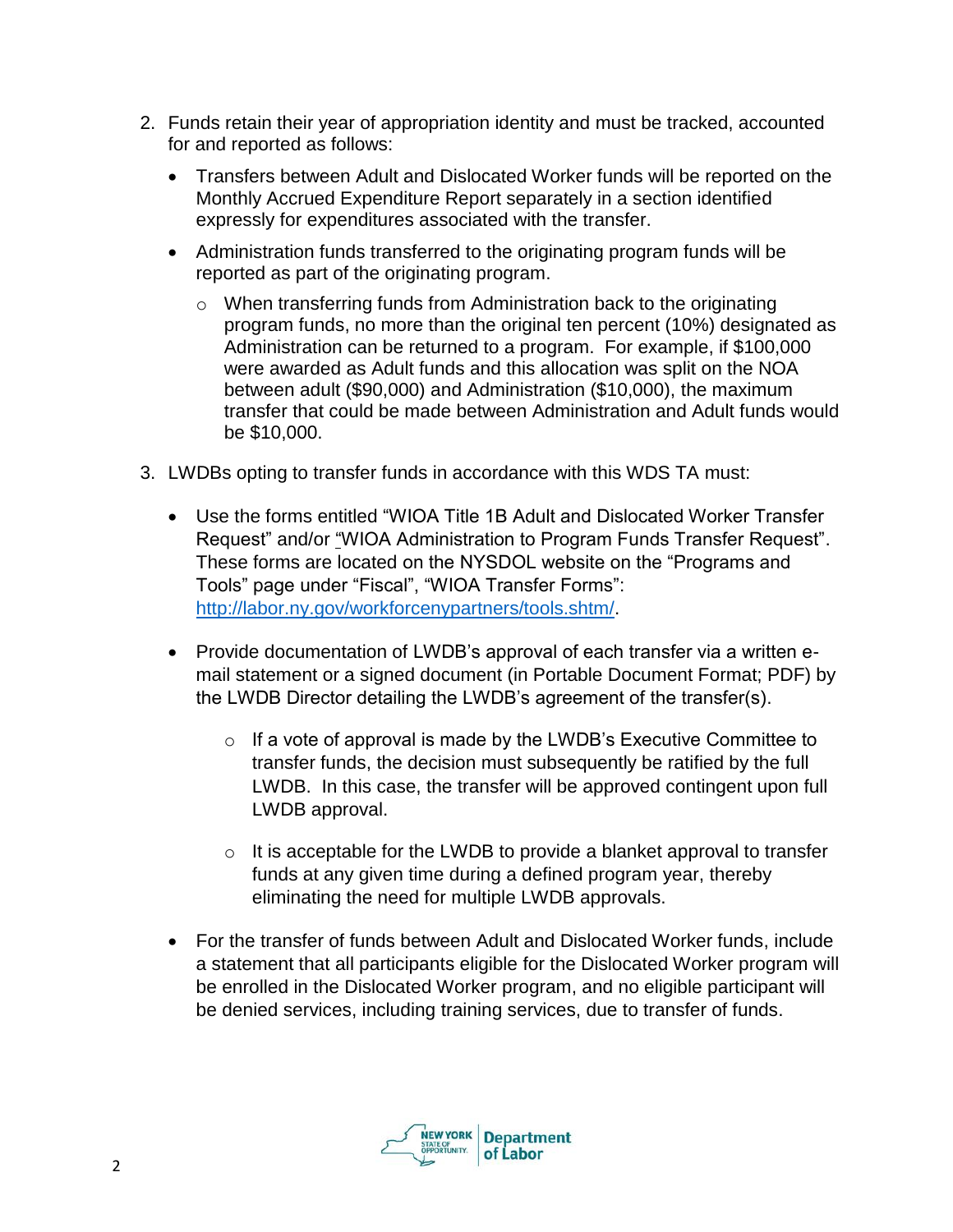- 2. Funds retain their year of appropriation identity and must be tracked, accounted for and reported as follows:
	- Transfers between Adult and Dislocated Worker funds will be reported on the Monthly Accrued Expenditure Report separately in a section identified expressly for expenditures associated with the transfer.
	- Administration funds transferred to the originating program funds will be reported as part of the originating program.
		- o When transferring funds from Administration back to the originating program funds, no more than the original ten percent (10%) designated as Administration can be returned to a program. For example, if \$100,000 were awarded as Adult funds and this allocation was split on the NOA between adult (\$90,000) and Administration (\$10,000), the maximum transfer that could be made between Administration and Adult funds would be \$10,000.
- 3. LWDBs opting to transfer funds in accordance with this WDS TA must:
	- Use the forms entitled "WIOA Title 1B Adult and Dislocated Worker Transfer Request" and/or "WIOA Administration to Program Funds Transfer Request". These forms are located on the NYSDOL website on the "Programs and Tools" page under "Fiscal", "WIOA Transfer Forms": [http://labor.ny.gov/workforcenypartners/tools.shtm/.](http://labor.ny.gov/workforcenypartners/tools.shtm/)
	- Provide documentation of LWDB's approval of each transfer via a written email statement or a signed document (in Portable Document Format; PDF) by the LWDB Director detailing the LWDB's agreement of the transfer(s).
		- $\circ$  If a vote of approval is made by the LWDB's Executive Committee to transfer funds, the decision must subsequently be ratified by the full LWDB. In this case, the transfer will be approved contingent upon full LWDB approval.
		- $\circ$  It is acceptable for the LWDB to provide a blanket approval to transfer funds at any given time during a defined program year, thereby eliminating the need for multiple LWDB approvals.
	- For the transfer of funds between Adult and Dislocated Worker funds, include a statement that all participants eligible for the Dislocated Worker program will be enrolled in the Dislocated Worker program, and no eligible participant will be denied services, including training services, due to transfer of funds.